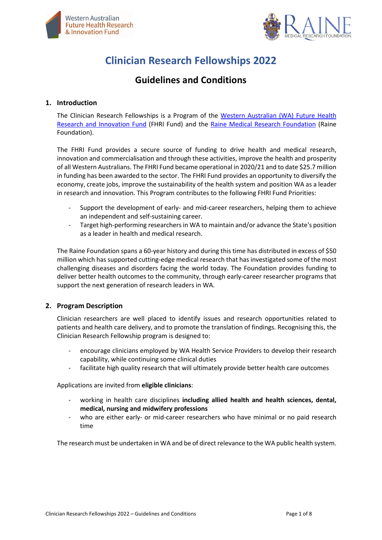



# **Clinician Research Fellowships 2022**

# **Guidelines and Conditions**

#### **1. Introduction**

The Clinician Research Fellowships is a Program of the [Western Australian \(WA\) Future Health](https://fhrifund.health.wa.gov.au/)  [Research and Innovation Fund](https://fhrifund.health.wa.gov.au/) (FHRI Fund) and the [Raine Medical Research Foundation](https://www.rainefoundation.org.au/) (Raine Foundation).

The FHRI Fund provides a secure source of funding to drive health and medical research, innovation and commercialisation and through these activities, improve the health and prosperity of all Western Australians. The FHRI Fund became operational in 2020/21 and to date \$25.7 million in funding has been awarded to the sector. The FHRI Fund provides an opportunity to diversify the economy, create jobs, improve the sustainability of the health system and position WA as a leader in research and innovation. This Program contributes to the following FHRI Fund Priorities:

- Support the development of early- and mid-career researchers, helping them to achieve an independent and self-sustaining career.
- Target high-performing researchers in WA to maintain and/or advance the State's position as a leader in health and medical research.

The Raine Foundation spans a 60-year history and during this time has distributed in excess of \$50 million which has supported cutting-edge medical research that has investigated some of the most challenging diseases and disorders facing the world today. The Foundation provides funding to deliver better health outcomes to the community, through early-career researcher programs that support the next generation of research leaders in WA.

# **2. Program Description**

Clinician researchers are well placed to identify issues and research opportunities related to patients and health care delivery, and to promote the translation of findings. Recognising this, the Clinician Research Fellowship program is designed to:

- encourage clinicians employed by WA Health Service Providers to develop their research capability, while continuing some clinical duties
- facilitate high quality research that will ultimately provide better health care outcomes

Applications are invited from **eligible clinicians**:

- working in health care disciplines **including allied health and health sciences, dental, medical, nursing and midwifery professions**
- who are either early- or mid-career researchers who have minimal or no paid research time

The research must be undertaken in WA and be of direct relevance to the WA public health system.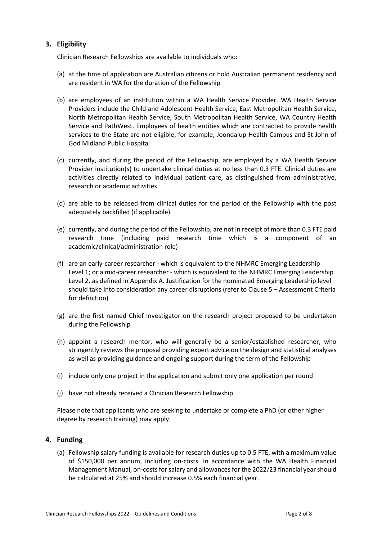## **3. Eligibility**

Clinician Research Fellowships are available to individuals who:

- (a) at the time of application are Australian citizens or hold Australian permanent residency and are resident in WA for the duration of the Fellowship
- (b) are employees of an institution within a WA Health Service Provider. WA Health Service Providers include the Child and Adolescent Health Service, East Metropolitan Health Service, North Metropolitan Health Service, South Metropolitan Health Service, WA Country Health Service and PathWest. Employees of health entities which are contracted to provide health services to the State are not eligible, for example, Joondalup Health Campus and St John of God Midland Public Hospital
- (c) currently, and during the period of the Fellowship, are employed by a WA Health Service Provider institution(s) to undertake clinical duties at no less than 0.3 FTE. Clinical duties are activities directly related to individual patient care, as distinguished from administrative, research or academic activities
- (d) are able to be released from clinical duties for the period of the Fellowship with the post adequately backfilled (if applicable)
- (e) currently, and during the period of the Fellowship, are not in receipt of more than 0.3 FTE paid research time (including paid research time which is a component of an academic/clinical/administration role)
- (f) are an early-career researcher which is equivalent to the NHMRC Emerging Leadership Level 1; or a mid-career researcher - which is equivalent to the NHMRC Emerging Leadership Level 2, as defined in Appendix A. Justification for the nominated Emerging Leadership level should take into consideration any career disruptions (refer to Clause 5 – Assessment Criteria for definition)
- (g) are the first named Chief Investigator on the research project proposed to be undertaken during the Fellowship
- (h) appoint a research mentor, who will generally be a senior/established researcher, who stringently reviews the proposal providing expert advice on the design and statistical analyses as well as providing guidance and ongoing support during the term of the Fellowship
- (i) include only one project in the application and submit only one application per round
- (j) have not already received a Clinician Research Fellowship

Please note that applicants who are seeking to undertake or complete a PhD (or other higher degree by research training) may apply.

#### **4. Funding**

(a) Fellowship salary funding is available for research duties up to 0.5 FTE, with a maximum value of \$150,000 per annum, including on-costs. In accordance with the WA Health Financial Management Manual, on-costs for salary and allowances for the 2022/23 financial yearshould be calculated at 25% and should increase 0.5% each financial year.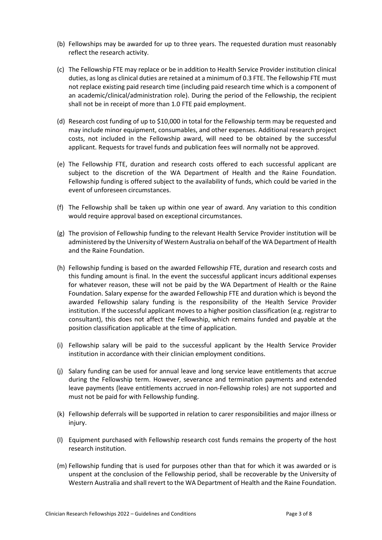- (b) Fellowships may be awarded for up to three years. The requested duration must reasonably reflect the research activity.
- (c) The Fellowship FTE may replace or be in addition to Health Service Provider institution clinical duties, as long as clinical duties are retained at a minimum of 0.3 FTE. The Fellowship FTE must not replace existing paid research time (including paid research time which is a component of an academic/clinical/administration role). During the period of the Fellowship, the recipient shall not be in receipt of more than 1.0 FTE paid employment.
- (d) Research cost funding of up to \$10,000 in total for the Fellowship term may be requested and may include minor equipment, consumables, and other expenses. Additional research project costs, not included in the Fellowship award, will need to be obtained by the successful applicant. Requests for travel funds and publication fees will normally not be approved.
- (e) The Fellowship FTE, duration and research costs offered to each successful applicant are subject to the discretion of the WA Department of Health and the Raine Foundation. Fellowship funding is offered subject to the availability of funds, which could be varied in the event of unforeseen circumstances.
- (f) The Fellowship shall be taken up within one year of award. Any variation to this condition would require approval based on exceptional circumstances.
- (g) The provision of Fellowship funding to the relevant Health Service Provider institution will be administered by the University of Western Australia on behalf of the WA Department of Health and the Raine Foundation.
- (h) Fellowship funding is based on the awarded Fellowship FTE, duration and research costs and this funding amount is final. In the event the successful applicant incurs additional expenses for whatever reason, these will not be paid by the WA Department of Health or the Raine Foundation. Salary expense for the awarded Fellowship FTE and duration which is beyond the awarded Fellowship salary funding is the responsibility of the Health Service Provider institution. If the successful applicant moves to a higher position classification (e.g. registrar to consultant), this does not affect the Fellowship, which remains funded and payable at the position classification applicable at the time of application.
- (i) Fellowship salary will be paid to the successful applicant by the Health Service Provider institution in accordance with their clinician employment conditions.
- (j) Salary funding can be used for annual leave and long service leave entitlements that accrue during the Fellowship term. However, severance and termination payments and extended leave payments (leave entitlements accrued in non-Fellowship roles) are not supported and must not be paid for with Fellowship funding.
- (k) Fellowship deferrals will be supported in relation to carer responsibilities and major illness or injury.
- (l) Equipment purchased with Fellowship research cost funds remains the property of the host research institution.
- (m) Fellowship funding that is used for purposes other than that for which it was awarded or is unspent at the conclusion of the Fellowship period, shall be recoverable by the University of Western Australia and shall revert to the WA Department of Health and the Raine Foundation.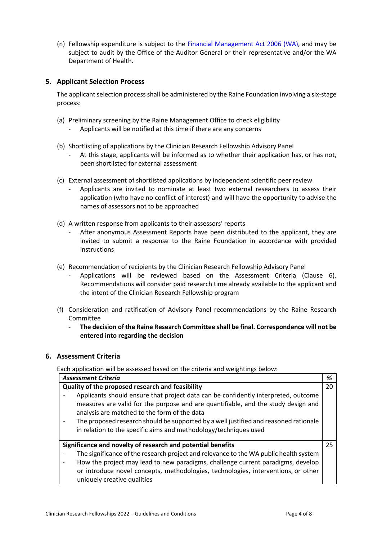(n) Fellowship expenditure is subject to the [Financial Management Act 2006 \(WA\),](https://www.legislation.wa.gov.au/legislation/statutes.nsf/law_a146606.html) and may be subject to audit by the Office of the Auditor General or their representative and/or the WA Department of Health.

## **5. Applicant Selection Process**

The applicant selection process shall be administered by the Raine Foundation involving a six-stage process:

- (a) Preliminary screening by the Raine Management Office to check eligibility
	- Applicants will be notified at this time if there are any concerns
- (b) Shortlisting of applications by the Clinician Research Fellowship Advisory Panel
	- At this stage, applicants will be informed as to whether their application has, or has not, been shortlisted for external assessment
- (c) External assessment of shortlisted applications by independent scientific peer review
	- Applicants are invited to nominate at least two external researchers to assess their application (who have no conflict of interest) and will have the opportunity to advise the names of assessors not to be approached
- (d) A written response from applicants to their assessors' reports
	- After anonymous Assessment Reports have been distributed to the applicant, they are invited to submit a response to the Raine Foundation in accordance with provided instructions
- (e) Recommendation of recipients by the Clinician Research Fellowship Advisory Panel
	- Applications will be reviewed based on the Assessment Criteria (Clause 6). Recommendations will consider paid research time already available to the applicant and the intent of the Clinician Research Fellowship program
- (f) Consideration and ratification of Advisory Panel recommendations by the Raine Research Committee
	- **The decision of the Raine Research Committee shall be final. Correspondence will not be entered into regarding the decision**

# **6. Assessment Criteria**

Each application will be assessed based on the criteria and weightings below:

| <b>Assessment Criteria</b>                       |                                                                                                                                                                                                                                                                                                                                                                                     | %  |  |
|--------------------------------------------------|-------------------------------------------------------------------------------------------------------------------------------------------------------------------------------------------------------------------------------------------------------------------------------------------------------------------------------------------------------------------------------------|----|--|
| Quality of the proposed research and feasibility |                                                                                                                                                                                                                                                                                                                                                                                     | 20 |  |
|                                                  | Applicants should ensure that project data can be confidently interpreted, outcome<br>measures are valid for the purpose and are quantifiable, and the study design and<br>analysis are matched to the form of the data<br>The proposed research should be supported by a well justified and reasoned rationale<br>in relation to the specific aims and methodology/techniques used |    |  |
|                                                  | Significance and novelty of research and potential benefits                                                                                                                                                                                                                                                                                                                         |    |  |
|                                                  | The significance of the research project and relevance to the WA public health system                                                                                                                                                                                                                                                                                               |    |  |
|                                                  | How the project may lead to new paradigms, challenge current paradigms, develop                                                                                                                                                                                                                                                                                                     |    |  |
|                                                  | or introduce novel concepts, methodologies, technologies, interventions, or other                                                                                                                                                                                                                                                                                                   |    |  |
|                                                  | uniquely creative qualities                                                                                                                                                                                                                                                                                                                                                         |    |  |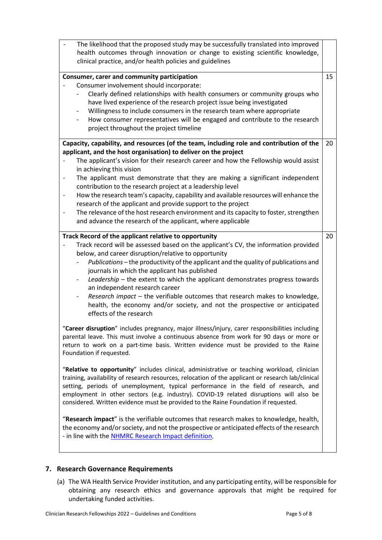| The likelihood that the proposed study may be successfully translated into improved<br>health outcomes through innovation or change to existing scientific knowledge,<br>clinical practice, and/or health policies and guidelines                                                                                                                                                                                                                                                                                                                                                                                                                                                                                                                                                                                                                                                                                                                                                                                                                                                                                                                                                                                                                                                                                                                                                                                                                                                                                                                                                                                                                                                                                                                                |    |
|------------------------------------------------------------------------------------------------------------------------------------------------------------------------------------------------------------------------------------------------------------------------------------------------------------------------------------------------------------------------------------------------------------------------------------------------------------------------------------------------------------------------------------------------------------------------------------------------------------------------------------------------------------------------------------------------------------------------------------------------------------------------------------------------------------------------------------------------------------------------------------------------------------------------------------------------------------------------------------------------------------------------------------------------------------------------------------------------------------------------------------------------------------------------------------------------------------------------------------------------------------------------------------------------------------------------------------------------------------------------------------------------------------------------------------------------------------------------------------------------------------------------------------------------------------------------------------------------------------------------------------------------------------------------------------------------------------------------------------------------------------------|----|
| Consumer, carer and community participation<br>Consumer involvement should incorporate:<br>Clearly defined relationships with health consumers or community groups who<br>have lived experience of the research project issue being investigated<br>Willingness to include consumers in the research team where appropriate<br>How consumer representatives will be engaged and contribute to the research<br>$\overline{\phantom{a}}$<br>project throughout the project timeline                                                                                                                                                                                                                                                                                                                                                                                                                                                                                                                                                                                                                                                                                                                                                                                                                                                                                                                                                                                                                                                                                                                                                                                                                                                                                | 15 |
| Capacity, capability, and resources (of the team, including role and contribution of the<br>applicant, and the host organisation) to deliver on the project<br>The applicant's vision for their research career and how the Fellowship would assist<br>in achieving this vision<br>The applicant must demonstrate that they are making a significant independent<br>contribution to the research project at a leadership level<br>How the research team's capacity, capability and available resources will enhance the<br>research of the applicant and provide support to the project<br>The relevance of the host research environment and its capacity to foster, strengthen<br>and advance the research of the applicant, where applicable                                                                                                                                                                                                                                                                                                                                                                                                                                                                                                                                                                                                                                                                                                                                                                                                                                                                                                                                                                                                                  | 20 |
| Track Record of the applicant relative to opportunity<br>Track record will be assessed based on the applicant's CV, the information provided<br>below, and career disruption/relative to opportunity<br>Publications - the productivity of the applicant and the quality of publications and<br>journals in which the applicant has published<br>Leadership - the extent to which the applicant demonstrates progress towards<br>$\overline{\phantom{a}}$<br>an independent research career<br>Research impact - the verifiable outcomes that research makes to knowledge,<br>$\qquad \qquad \blacksquare$<br>health, the economy and/or society, and not the prospective or anticipated<br>effects of the research<br>'Career disruption" includes pregnancy, major illness/injury, carer responsibilities including<br>parental leave. This must involve a continuous absence from work for 90 days or more or<br>return to work on a part-time basis. Written evidence must be provided to the Raine<br>Foundation if requested.<br>"Relative to opportunity" includes clinical, administrative or teaching workload, clinician<br>training, availability of research resources, relocation of the applicant or research lab/clinical<br>setting, periods of unemployment, typical performance in the field of research, and<br>employment in other sectors (e.g. industry). COVID-19 related disruptions will also be<br>considered. Written evidence must be provided to the Raine Foundation if requested.<br>"Research impact" is the verifiable outcomes that research makes to knowledge, health,<br>the economy and/or society, and not the prospective or anticipated effects of the research<br>- in line with the NHMRC Research Impact definition. | 20 |

# **7. Research Governance Requirements**

(a) The WA Health Service Provider institution, and any participating entity, will be responsible for obtaining any research ethics and governance approvals that might be required for undertaking funded activities.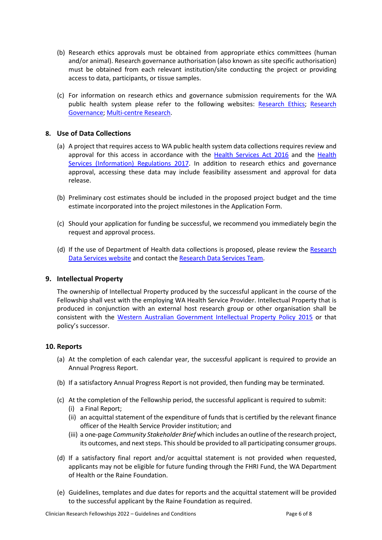- (b) Research ethics approvals must be obtained from appropriate ethics committees (human and/or animal). Research governance authorisation (also known as site specific authorisation) must be obtained from each relevant institution/site conducting the project or providing access to data, participants, or tissue samples.
- (c) For information on research ethics and governance submission requirements for the WA public health system please refer to the following websites: [Research Ethics;](https://rgs.health.wa.gov.au/Pages/Research-Ethics.aspx) [Research](https://rgs.health.wa.gov.au/Pages/Research-Governance.aspx)  [Governance;](https://rgs.health.wa.gov.au/Pages/Research-Governance.aspx) [Multi-centre Research.](https://rgs.health.wa.gov.au/Pages/Multi-centre-Research.aspx)

# **8. Use of Data Collections**

- (a) A project that requires access to WA public health system data collections requires review and approval for this access in accordance with the [Health Services Act 2016](https://www.legislation.wa.gov.au/legislation/statutes.nsf/main_mrtitle_13760_homepage.html) and the [Health](https://www.legislation.wa.gov.au/legislation/prod/filestore.nsf/FileURL/mrdoc_41455.pdf/$FILE/Health%20Services%20(Information)%20Regulations%202017%20-%20%5B00-c0-02%5D.pdf?OpenElement)  [Services \(Information\) Regulations 2017.](https://www.legislation.wa.gov.au/legislation/prod/filestore.nsf/FileURL/mrdoc_41455.pdf/$FILE/Health%20Services%20(Information)%20Regulations%202017%20-%20%5B00-c0-02%5D.pdf?OpenElement) In addition to research ethics and governance approval, accessing these data may include feasibility assessment and approval for data release.
- (b) Preliminary cost estimates should be included in the proposed project budget and the time estimate incorporated into the project milestones in the Application Form.
- (c) Should your application for funding be successful, we recommend you immediately begin the request and approval process.
- (d) If the use of Department of Health data collections is proposed, please review the [Research](https://www.datalinkage-wa.org.au/apply/)  [Data Services website](https://www.datalinkage-wa.org.au/apply/) and contact th[e Research Data Services Team.](mailto:Dataservices@health.wa.gov.au)

#### **9. Intellectual Property**

The ownership of Intellectual Property produced by the successful applicant in the course of the Fellowship shall vest with the employing WA Health Service Provider. Intellectual Property that is produced in conjunction with an external host research group or other organisation shall be consistent with the [Western Australian Government Intellectual Property Policy 2015](https://www.jtsi.wa.gov.au/docs/default-source/default-document-library/industry-development---key-legislation---wa-ip-policy-2015.pdf?sfvrsn=a64e6c1c_2) or that policy's successor.

#### **10. Reports**

- (a) At the completion of each calendar year, the successful applicant is required to provide an Annual Progress Report.
- (b) If a satisfactory Annual Progress Report is not provided, then funding may be terminated.
- (c) At the completion of the Fellowship period, the successful applicant is required to submit:
	- (i) a Final Report;
	- (ii) an acquittal statement of the expenditure of funds that is certified by the relevant finance officer of the Health Service Provider institution; and
	- (iii) a one-page *Community Stakeholder Brief* which includes an outline of the research project, its outcomes, and next steps. This should be provided to all participating consumer groups.
- (d) If a satisfactory final report and/or acquittal statement is not provided when requested, applicants may not be eligible for future funding through the FHRI Fund, the WA Department of Health or the Raine Foundation.
- (e) Guidelines, templates and due dates for reports and the acquittal statement will be provided to the successful applicant by the Raine Foundation as required.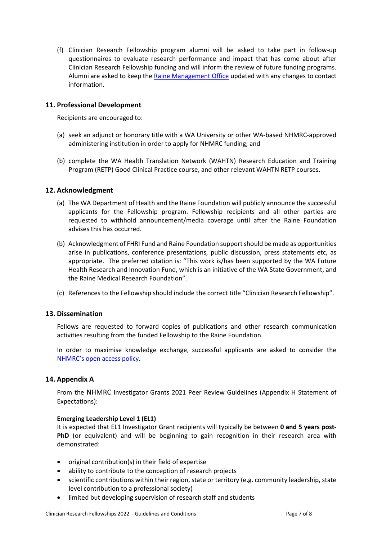(f) Clinician Research Fellowship program alumni will be asked to take part in follow-up questionnaires to evaluate research performance and impact that has come about after Clinician Research Fellowship funding and will inform the review of future funding programs. Alumni are asked to keep the [Raine Management Office](mailto:raine@rainefoundation.org.au) updated with any changes to contact information.

#### **11. Professional Development**

Recipients are encouraged to:

- (a) seek an adjunct or honorary title with a WA University or other WA-based NHMRC-approved administering institution in order to apply for NHMRC funding; and
- (b) complete the WA Health Translation Network (WAHTN) Research Education and Training Program (RETP) Good Clinical Practice course, and other relevant WAHTN RETP courses.

#### **12. Acknowledgment**

- (a) The WA Department of Health and the Raine Foundation will publicly announce the successful applicants for the Fellowship program. Fellowship recipients and all other parties are requested to withhold announcement/media coverage until after the Raine Foundation advises this has occurred.
- (b) Acknowledgment of FHRI Fund and Raine Foundation support should be made as opportunities arise in publications, conference presentations, public discussion, press statements etc, as appropriate. The preferred citation is: "This work is/has been supported by the WA Future Health Research and Innovation Fund, which is an initiative of the WA State Government, and the Raine Medical Research Foundation".
- (c) References to the Fellowship should include the correct title "Clinician Research Fellowship".

#### **13. Dissemination**

Fellows are requested to forward copies of publications and other research communication activities resulting from the funded Fellowship to the Raine Foundation.

In order to maximise knowledge exchange, successful applicants are asked to consider the [NHMRC's open access policy.](https://nhmrc.gov.au/about-us/publications/open-access-policy)

#### **14. Appendix A**

From the [NHMRC](https://www.nhmrc.gov.au/funding/find-funding/investigator-grants) Investigator Grants 2021 Peer Review Guidelines (Appendix H Statement of Expectations):

#### **Emerging Leadership Level 1 (EL1)**

It is expected that EL1 Investigator Grant recipients will typically be between **0 and 5 years post-PhD** (or equivalent) and will be beginning to gain recognition in their research area with demonstrated:

- original contribution(s) in their field of expertise
- ability to contribute to the conception of research projects
- scientific contributions within their region, state or territory (e.g. community leadership, state level contribution to a professional society)
- limited but developing supervision of research staff and students